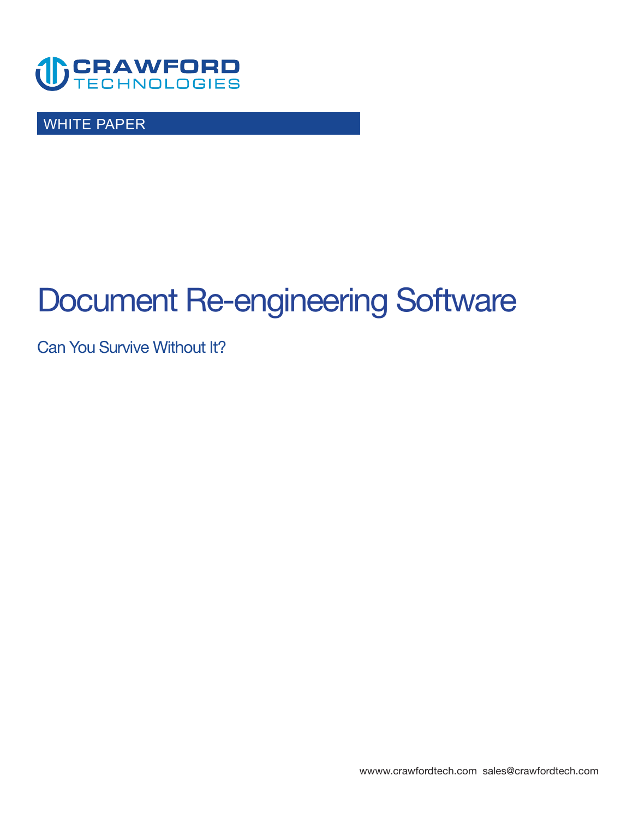

WHITE PAPER

# **Document Re-engineering Software**

**Can You Survive Without It?** 

**<wwww.crawfordtech.com>[sales@crawfordtech.com](mailto:sales@crawfordtech.com)**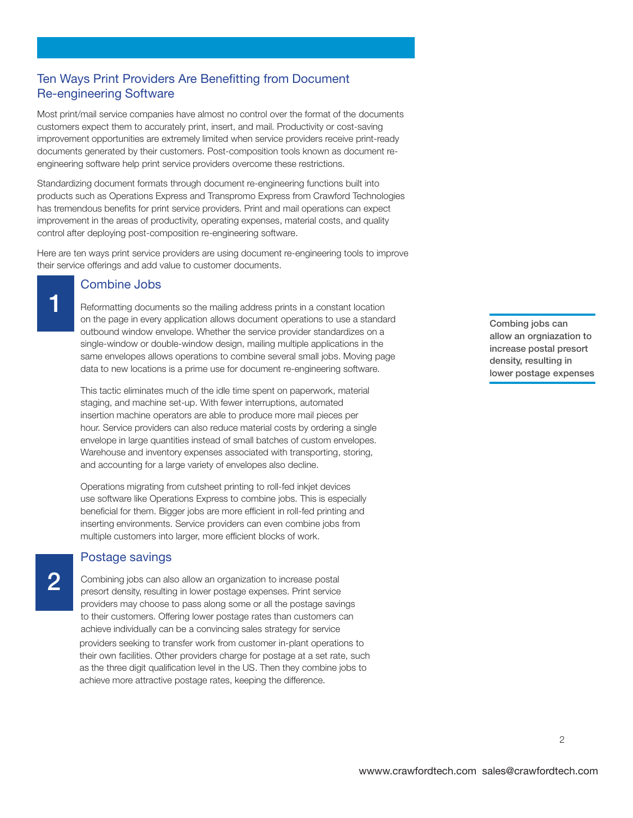# **Ten Ways Print Providers Are Benefitting from Document Re-engineering Software**

**Most print/mail service companies have almost no control over the format of the documents customers expect them to accurately print, insert, and mail. Productivity or cost-saving improvement opportunities are extremely limited when service providers receive print-ready documents generated by their customers. Post-composition tools known as document reengineering software help print service providers overcome these restrictions.** 

**Standardizing document formats through document re-engineering functions built into products such as Operations Express and Transpromo Express from Crawford Technologies has tremendous benefits for print service providers. Print and mail operations can expect improvement in the areas of productivity, operating expenses, material costs, and quality control after deploying post-composition re-engineering software.** 

**Here are ten ways print service providers are using document re-engineering tools to improve their service offerings and add value to customer documents.** 

#### **Combine Jobs**

**2**

**1 Reformatting documents so the mailing address prints in a constant location on the page in every application allows document operations to use a standard outbound window envelope. Whether the service provider standardizes on a single-window or double-window design, mailing multiple applications in the same envelopes allows operations to combine several small jobs. Moving page data to new locations is a prime use for document re-engineering software.** 

**This tactic eliminates much of the idle time spent on paperwork, material staging, and machine set-up. With fewer interruptions, automated insertion machine operators are able to produce more mail pieces per hour. Service providers can also reduce material costs by ordering a single envelope in large quantities instead of small batches of custom envelopes. Warehouse and inventory expenses associated with transporting, storing, and accounting for a large variety of envelopes also decline.** 

**Operations migrating from cutsheet printing to roll-fed inkjet devices use software like Operations Express to combine jobs. This is especially beneficial for them. Bigger jobs are more efficient in roll-fed printing and inserting environments. Service providers can even combine jobs from multiple customers into larger, more efficient blocks of work.** 

## **Postage savings**

**Combining jobs can also allow an organization to increase postal presort density, resulting in lower postage expenses. Print service providers may choose to pass along some or all the postage savings to their customers. Offering lower postage rates than customers can achieve individually can be a convincing sales strategy for service providers seeking to transfer work from customer in-plant operations to their own facilities. Other providers charge for postage at a set rate, such as the three digit qualification level in the US. Then they combine jobs to achieve more attractive postage rates, keeping the difference.** 

**Combing jobs can allow an orgniazation to increase postal presort density, resulting in lower postage expenses** 

**2**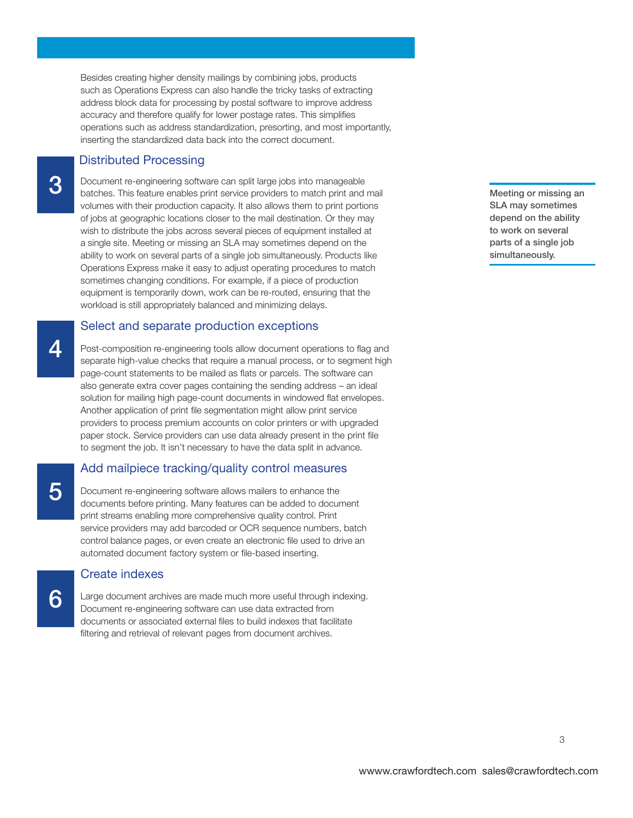# **Distributed Processing**

**3**

**Document re-engineering software can split large jobs into manageable batches. This feature enables print service providers to match print and mail volumes with their production capacity. It also allows them to print portions of jobs at geographic locations closer to the mail destination. Or they may wish to distribute the jobs across several pieces of equipment installed at a single site. Meeting or missing an SLA may sometimes depend on the ability to work on several parts of a single job simultaneously. Products like Operations Express make it easy to adjust operating procedures to match sometimes changing conditions. For example, if a piece of production equipment is temporarily down, work can be re-routed, ensuring that the workload is still appropriately balanced and minimizing delays.** 

## **Select and separate production exceptions**

**4 Post-composition re-engineering tools allow document operations to flag and separate high-value checks that require a manual process, or to segment high page-count statements to be mailed as flats or parcels. The software can also generate extra cover pages containing the sending address – an ideal solution for mailing high page-count documents in windowed flat envelopes. Another application of print file segmentation might allow print service providers to process premium accounts on color printers or with upgraded paper stock. Service providers can use data already present in the print file to segment the job. It isn't necessary to have the data split in advance.** 

### **Add mailpiece tracking/quality control measures**

**5 Document re-engineering software allows mailers to enhance the documents before printing. Many features can be added to document print streams enabling more comprehensive quality control. Print service providers may add barcoded or OCR sequence numbers, batch control balance pages, or even create an electronic file used to drive an automated document factory system or file-based inserting.** 

# **Create indexes**

**Large document archives are made much more useful through indexing. Document re-engineering software can use data extracted from documents or associated external files to build indexes that facilitate filtering and retrieval of relevant pages from document archives.** 

**Meeting or missing an SLA may sometimes depend on the ability to work on several parts of a single job simultaneously.** 

**6**

**wwww.crawfordtech.com sales@crawfordtech.com**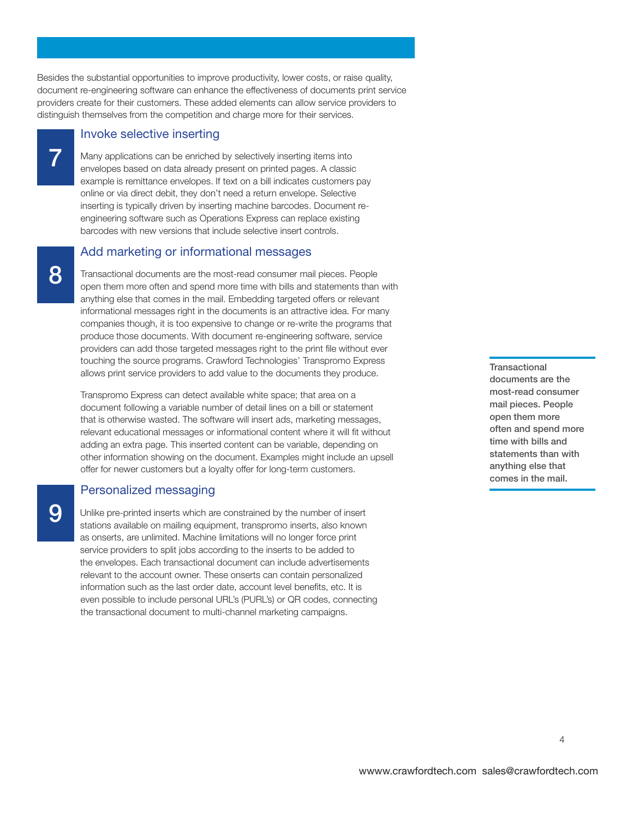**Besides the substantial opportunities to improve productivity, lower costs, or raise quality, document re-engineering software can enhance the effectiveness of documents print service providers create for their customers. These added elements can allow service providers to distinguish themselves from the competition and charge more for their services.** 

#### **Invoke selective inserting**

**7 Many applications can be enriched by selectively inserting items into envelopes based on data already present on printed pages. A classic example is remittance envelopes. If text on a bill indicates customers pay online or via direct debit, they don't need a return envelope. Selective inserting is typically driven by inserting machine barcodes. Document reengineering software such as Operations Express can replace existing barcodes with new versions that include selective insert controls.** 

## **Add marketing or informational messages**

**8 Transactional documents are the most-read consumer mail pieces. People open them more often and spend more time with bills and statements than with anything else that comes in the mail. Embedding targeted offers or relevant informational messages right in the documents is an attractive idea. For many companies though, it is too expensive to change or re-write the programs that produce those documents. With document re-engineering software, service providers can add those targeted messages right to the print file without ever touching the source programs. Crawford Technologies' Transpromo Express allows print service providers to add value to the documents they produce.** 

**Transpromo Express can detect available white space; that area on a document following a variable number of detail lines on a bill or statement that is otherwise wasted. The software will insert ads, marketing messages, relevant educational messages or informational content where it will fit without adding an extra page. This inserted content can be variable, depending on other information showing on the document. Examples might include an upsell offer for newer customers but a loyalty offer for long-term customers.** 

# **Personalized messaging**

**9 Unlike pre-printed inserts which are constrained by the number of insert stations available on mailing equipment, transpromo inserts, also known as onserts, are unlimited. Machine limitations will no longer force print service providers to split jobs according to the inserts to be added to the envelopes. Each transactional document can include advertisements relevant to the account owner. These onserts can contain personalized information such as the last order date, account level benefits, etc. It is even possible to include personal URL's (PURL's) or QR codes, connecting the transactional document to multi-channel marketing campaigns.** 

**Transactional documents are the most-read consumer mail pieces. People open them more often and spend more time with bills and statements than with anything else that comes in the mail.** 

**4**